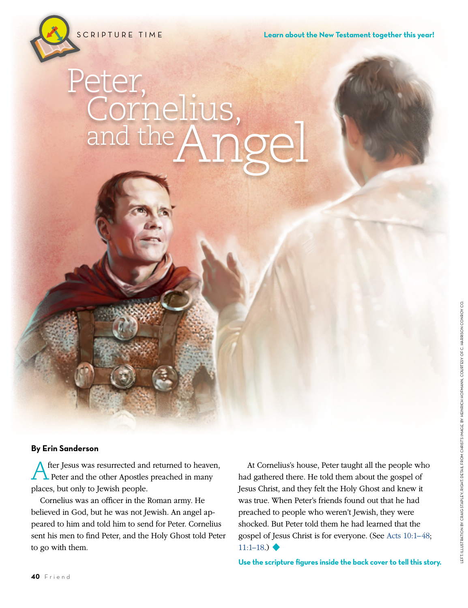SCRIPTURE TIME

# Peter, Cornelius,<br>and the Angel

### **By Erin Sanderson**

After Jesus was resurrected and returned to heaven,<br>Peter and the other Apostles preached in many places, but only to Jewish people.

Cornelius was an officer in the Roman army. He believed in God, but he was not Jewish. An angel appeared to him and told him to send for Peter. Cornelius sent his men to find Peter, and the Holy Ghost told Peter to go with them.

At Cornelius's house, Peter taught all the people who had gathered there. He told them about the gospel of Jesus Christ, and they felt the Holy Ghost and knew it was true. When Peter's friends found out that he had preached to people who weren't Jewish, they were shocked. But Peter told them he had learned that the gospel of Jesus Christ is for everyone. (See [Acts 10:1–48;](https://www.lds.org/scriptures/nt/acts/10.1-48?lang=eng#primary)  $11:1-18.$ ) ◆

**Use the scripture figures inside the back cover to tell this story.**